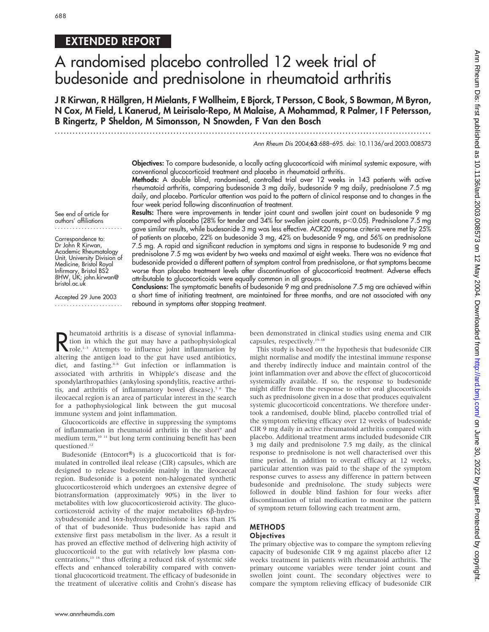# EXTENDED REPORT

# A randomised placebo controlled 12 week trial of budesonide and prednisolone in rheumatoid arthritis

J R Kirwan, R Hällgren, H Mielants, F Wollheim, E Bjorck, T Persson, C Book, S Bowman, M Byron, N Cox, M Field, L Kanerud, M Leirisalo-Repo, M Malaise, A Mohammad, R Palmer, I F Petersson, B Ringertz, P Sheldon, M Simonsson, N Snowden, F Van den Bosch

...............................................................................................................................

Ann Rheum Dis 2004;63:688–695. doi: 10.1136/ard.2003.008573

Objectives: To compare budesonide, a locally acting glucocorticoid with minimal systemic exposure, with conventional glucocorticoid treatment and placebo in rheumatoid arthritis.

Methods: A double blind, randomised, controlled trial over 12 weeks in 143 patients with active rheumatoid arthritis, comparing budesonide 3 mg daily, budesonide 9 mg daily, prednisolone 7.5 mg daily, and placebo. Particular attention was paid to the pattern of clinical response and to changes in the four week period following discontinuation of treatment.

Results: There were improvements in tender joint count and swollen joint count on budesonide 9 mg compared with placebo (28% for tender and 34% for swollen joint counts,  $p<0.05$ ). Prednisolone 7.5 mg gave similar results, while budesonide 3 mg was less effective. ACR20 response criteria were met by 25% of patients on placebo, 22% on budesonide 3 mg, 42% on budesonide 9 mg, and 56% on prednisolone 7.5 mg. A rapid and significant reduction in symptoms and signs in response to budesonide 9 mg and

See end of article for authors' affiliations .......................

#### Correspondence to: Dr John R Kirwan, Academic Rheumatology Unit, University Division of

Medicine, Bristol Royal Infirmary, Bristol BS2 8HW, UK; john.kirwan@ bristol.ac.uk

Accepted 29 June 2003 ....................... prednisolone 7.5 mg was evident by two weeks and maximal at eight weeks. There was no evidence that budesonide provided a different pattern of symptom control from prednisolone, or that symptoms became worse than placebo treatment levels after discontinuation of glucocorticoid treatment. Adverse effects attributable to glucocorticoids were equally common in all groups. Conclusions: The symptomatic benefits of budesonide 9 mg and prednisolone 7.5 mg are achieved within

a short time of initiating treatment, are maintained for three months, and are not associated with any rebound in symptoms after stopping treatment.

capsules, respectively.15–18

R heumatoid arthritis is a disease of synovial inflamma-<br>
rion in which the gut may have a pathophysiological<br>
riole.<sup>1-3</sup> Attempts to influence joint inflammation by<br>
altering the artison load to the gut have used artibio tion in which the gut may have a pathophysiological role.<sup>1-3</sup> Attempts to influence joint inflammation by altering the antigen load to the gut have used antibiotics, diet, and fasting.<sup>4-6</sup> Gut infection or inflammation is associated with arthritis in Whipple's disease and the spondylarthropathies (ankylosing spondylitis, reactive arthritis, and arthritis of inflammatory bowel disease).7 8 The ileocaecal region is an area of particular interest in the search for a pathophysiological link between the gut mucosal immune system and joint inflammation.

Glucocorticoids are effective in suppressing the symptoms of inflammation in rheumatoid arthritis in the short<sup>9</sup> and medium term,10 11 but long term continuing benefit has been questioned.12

Budesonide (Entocort®) is a glucocorticoid that is formulated in controlled ileal release (CIR) capsules, which are designed to release budesonide mainly in the ileocaecal region. Budesonide is a potent non-halogenated synthetic glucocorticosteroid which undergoes an extensive degree of biotransformation (approximately 90%) in the liver to metabolites with low glucocorticosteroid activity. The glucocorticosteroid activity of the major metabolites  $6\beta$ -hydroxybudesonide and 16a-hydroxyprednisolone is less than 1% of that of budesonide. Thus budesonide has rapid and extensive first pass metabolism in the liver. As a result it has proved an effective method of delivering high activity of glucocorticoid to the gut with relatively low plasma concentrations,13 14 thus offering a reduced risk of systemic side effects and enhanced tolerability compared with conventional glucocorticoid treatment. The efficacy of budesonide in the treatment of ulcerative colitis and Crohn's disease has

This study is based on the hypothesis that budesonide CIR might normalise and modify the intestinal immune response

and thereby indirectly induce and maintain control of the joint inflammation over and above the effect of glucocorticoid systemically available. If so, the response to budesonide might differ from the response to other oral glucocorticoids such as prednisolone given in a dose that produces equivalent systemic glucocorticoid concentrations. We therefore undertook a randomised, double blind, placebo controlled trial of the symptom relieving efficacy over 12 weeks of budesonide CIR 9 mg daily in active rheumatoid arthritis compared with placebo. Additional treatment arms included budesonide CIR 3 mg daily and prednisolone 7.5 mg daily, as the clinical response to prednisolone is not well characterised over this time period. In addition to overall efficacy at 12 weeks, particular attention was paid to the shape of the symptom response curves to assess any difference in pattern between budesonide and prednisolone. The study subjects were followed in double blind fashion for four weeks after discontinuation of trial medication to monitor the pattern of symptom return following each treatment arm.

been demonstrated in clinical studies using enema and CIR

#### METHODS **Objectives**

The primary objective was to compare the symptom relieving capacity of budesonide CIR 9 mg against placebo after 12 weeks treatment in patients with rheumatoid arthritis. The primary outcome variables were tender joint count and swollen joint count. The secondary objectives were to compare the symptom relieving efficacy of budesonide CIR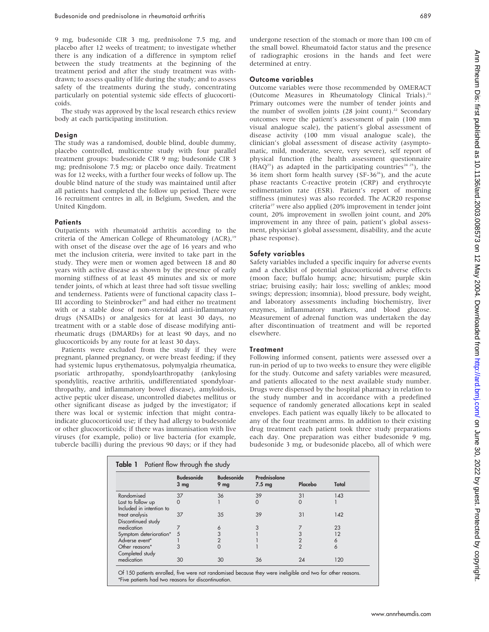9 mg, budesonide CIR 3 mg, prednisolone 7.5 mg, and placebo after 12 weeks of treatment; to investigate whether there is any indication of a difference in symptom relief between the study treatments at the beginning of the treatment period and after the study treatment was withdrawn; to assess quality of life during the study; and to assess safety of the treatments during the study, concentrating particularly on potential systemic side effects of glucocorticoids.

The study was approved by the local research ethics review body at each participating institution.

#### Design

The study was a randomised, double blind, double dummy, placebo controlled, multicentre study with four parallel treatment groups: budesonide CIR 9 mg; budesonide CIR 3 mg; prednisolone 7.5 mg; or placebo once daily. Treatment was for 12 weeks, with a further four weeks of follow up. The double blind nature of the study was maintained until after all patients had completed the follow up period. There were 16 recruitment centres in all, in Belgium, Sweden, and the United Kingdom.

#### **Patients**

Outpatients with rheumatoid arthritis according to the criteria of the American College of Rheumatology  $(ACR)$ ,<sup>19</sup> with onset of the disease over the age of 16 years and who met the inclusion criteria, were invited to take part in the study. They were men or women aged between 18 and 80 years with active disease as shown by the presence of early morning stiffness of at least 45 minutes and six or more tender joints, of which at least three had soft tissue swelling and tenderness. Patients were of functional capacity class I– III according to Steinbrocker<sup>20</sup> and had either no treatment with or a stable dose of non-steroidal anti-inflammatory drugs (NSAIDs) or analgesics for at least 30 days, no treatment with or a stable dose of disease modifying antirheumatic drugs (DMARDs) for at least 90 days, and no glucocorticoids by any route for at least 30 days.

Patients were excluded from the study if they were pregnant, planned pregnancy, or were breast feeding; if they had systemic lupus erythematosus, polymyalgia rheumatica, psoriatic arthropathy, spondyloarthropathy (ankylosing spondylitis, reactive arthritis, undifferentiated spondyloarthropathy, and inflammatory bowel disease), amyloidosis, active peptic ulcer disease, uncontrolled diabetes mellitus or other significant disease as judged by the investigator; if there was local or systemic infection that might contraindicate glucocorticoid use; if they had allergy to budesonide or other glucocorticoids; if there was immunisation with live viruses (for example, polio) or live bacteria (for example, tubercle bacilli) during the previous 90 days; or if they had

undergone resection of the stomach or more than 100 cm of the small bowel. Rheumatoid factor status and the presence of radiographic erosions in the hands and feet were determined at entry.

#### Outcome variables

Outcome variables were those recommended by OMERACT (Outcome Measures in Rheumatology Clinical Trials).21 Primary outcomes were the number of tender joints and the number of swollen joints  $(28 \text{ joint count})$ .<sup>22</sup> Secondary outcomes were the patient's assessment of pain (100 mm visual analogue scale), the patient's global assessment of disease activity (100 mm visual analogue scale), the clinician's global assessment of disease activity (asymptomatic, mild, moderate, severe, very severe), self report of physical function (the health assessment questionnaire (HAQ<sup>23</sup>) as adapted in the participating countries<sup>24 25</sup>), the 36 item short form health survey ( $SF-36^{26}$ ), and the acute phase reactants C-reactive protein (CRP) and erythrocyte sedimentation rate (ESR). Patient's report of morning stiffness (minutes) was also recorded. The ACR20 response criteria<sup>27</sup> were also applied (20% improvement in tender joint count, 20% improvement in swollen joint count, and 20% improvement in any three of pain, patient's global assessment, physician's global assessment, disability, and the acute phase response).

#### Safety variables

Safety variables included a specific inquiry for adverse events and a checklist of potential glucocorticoid adverse effects (moon face; buffalo hump; acne; hirsutism; purple skin striae; bruising easily; hair loss; swelling of ankles; mood swings; depression; insomnia), blood pressure, body weight, and laboratory assessments including biochemistry, liver enzymes, inflammatory markers, and blood glucose. Measurement of adrenal function was undertaken the day after discontinuation of treatment and will be reported elsewhere.

#### **Treatment**

Following informed consent, patients were assessed over a run-in period of up to two weeks to ensure they were eligible for the study. Outcome and safety variables were measured, and patients allocated to the next available study number. Drugs were dispensed by the hospital pharmacy in relation to the study number and in accordance with a predefined sequence of randomly generated allocations kept in sealed envelopes. Each patient was equally likely to be allocated to any of the four treatment arms. In addition to their existing drug treatment each patient took three study preparations each day. One preparation was either budesonide 9 mg, budesonide 3 mg, or budesonide placebo, all of which were

|                          | <b>Budesonide</b> | <b>Budesonide</b> | Prednisolone     |                |       |
|--------------------------|-------------------|-------------------|------------------|----------------|-------|
|                          | 3 <sub>mg</sub>   | 9 <sub>mg</sub>   | $7.5 \text{ mg}$ | Placebo        | Total |
| Randomised               | 37                | 36                | 39               | 31             | 143   |
| Lost to follow up        | O                 |                   | 0                | 0              |       |
| Included in intention to |                   |                   |                  |                |       |
| treat analysis           | 37                | 35                | 39               | 31             | 142   |
| Discontinued study       |                   |                   |                  |                |       |
| medication               |                   | 6                 | 3                |                | 23    |
| Symptom deterioration*   | 5                 | 3                 |                  |                | 12    |
| Adverse event*           |                   | $\overline{2}$    |                  | $\overline{2}$ | 6     |
| Other reasons*           |                   | $\Omega$          |                  | $\mathfrak{p}$ | 6     |
| Completed study          |                   |                   |                  |                |       |
| medication               | 30                | 30                | 36               | 24             | 120   |

Of 150 patients enrolled, five were not randomised because they were ineligible and two for other reasons. \*Five patients had two reasons for discontinuation.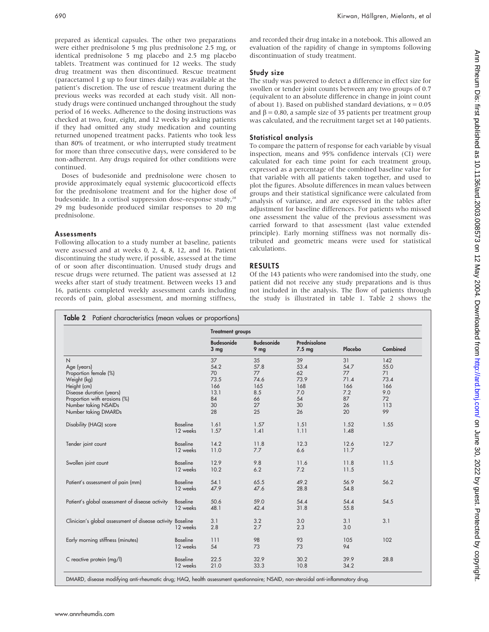prepared as identical capsules. The other two preparations were either prednisolone 5 mg plus prednisolone 2.5 mg, or identical prednisolone 5 mg placebo and 2.5 mg placebo tablets. Treatment was continued for 12 weeks. The study drug treatment was then discontinued. Rescue treatment (paracetamol 1 g up to four times daily) was available at the patient's discretion. The use of rescue treatment during the previous weeks was recorded at each study visit. All nonstudy drugs were continued unchanged throughout the study period of 16 weeks. Adherence to the dosing instructions was checked at two, four, eight, and 12 weeks by asking patients if they had omitted any study medication and counting returned unopened treatment packs. Patients who took less than 80% of treatment, or who interrupted study treatment for more than three consecutive days, were considered to be non-adherent. Any drugs required for other conditions were continued.

Doses of budesonide and prednisolone were chosen to provide approximately equal systemic glucocorticoid effects for the prednisolone treatment and for the higher dose of budesonide. In a cortisol suppression dose–response study,<sup>28</sup> 29 mg budesonide produced similar responses to 20 mg prednisolone.

#### Assessments

Following allocation to a study number at baseline, patients were assessed and at weeks 0, 2, 4, 8, 12, and 16. Patient discontinuing the study were, if possible, assessed at the time of or soon after discontinuation. Unused study drugs and rescue drugs were returned. The patient was assessed at 12 weeks after start of study treatment. Between weeks 13 and 16, patients completed weekly assessment cards including records of pain, global assessment, and morning stiffness, and recorded their drug intake in a notebook. This allowed an evaluation of the rapidity of change in symptoms following discontinuation of study treatment.

# Study size

The study was powered to detect a difference in effect size for swollen or tender joint counts between any two groups of 0.7 (equivalent to an absolute difference in change in joint count of about 1). Based on published standard deviations,  $\alpha = 0.05$ and  $\beta$  = 0.80, a sample size of 35 patients per treatment group was calculated, and the recruitment target set at 140 patients.

# Statistical analysis

To compare the pattern of response for each variable by visual inspection, means and 95% confidence intervals (CI) were calculated for each time point for each treatment group, expressed as a percentage of the combined baseline value for that variable with all patients taken together, and used to plot the figures. Absolute differences in mean values between groups and their statistical significance were calculated from analysis of variance, and are expressed in the tables after adjustment for baseline differences. For patients who missed one assessment the value of the previous assessment was carried forward to that assessment (last value extended principle). Early morning stiffness was not normally distributed and geometric means were used for statistical calculations.

# RESULTS

Of the 143 patients who were randomised into the study, one patient did not receive any study preparations and is thus not included in the analysis. The flow of patients through the study is illustrated in table 1. Table 2 shows the

|                                                            |          | <b>Treatment groups</b>              |                                      |                                  |         |          |
|------------------------------------------------------------|----------|--------------------------------------|--------------------------------------|----------------------------------|---------|----------|
|                                                            |          | <b>Budesonide</b><br>3 <sub>mg</sub> | <b>Budesonide</b><br>9 <sub>mg</sub> | Prednisolone<br>$7.5 \text{ mg}$ | Placebo | Combined |
| $\mathsf{N}$                                               |          | 37                                   | 35                                   | 39                               | 31      | 142      |
| Age (years)                                                |          | 54.2                                 | 57.8                                 | 53.4                             | 54.7    | 55.0     |
| Proportion female (%)                                      |          | 70                                   | 77                                   | 62                               | 77      | 71       |
| Weight (kg)                                                |          | 73.5                                 | 74.6                                 | 73.9                             | 71.4    | 73.4     |
| Height (cm)                                                |          | 166                                  | 165                                  | 168                              | 166     | 166      |
| Disease duration (years)                                   |          | 13.1                                 | 8.5                                  | 7.0                              | 7.2     | 9.0      |
| Proportion with erosions (%)                               |          | 84                                   | 66                                   | 54                               | 87      | 72       |
| Number taking NSAIDs                                       |          | 30                                   | 27                                   | 30                               | 26      | 113      |
| Number taking DMARDs                                       |          | 28                                   | 25                                   | 26                               | 20      | 99       |
| Disability (HAQ) score                                     | Baseline | 1.61                                 | 1.57                                 | 1.51                             | 1.52    | 1.55     |
|                                                            | 12 weeks | 1.57                                 | 1.41                                 | 1.11                             | 1.48    |          |
| Tender joint count                                         | Baseline | 14.2                                 | 11.8                                 | 12.3                             | 12.6    | 12.7     |
|                                                            | 12 weeks | 11.0                                 | 7.7                                  | 6.6                              | 11.7    |          |
| Swollen joint count                                        | Baseline | 12.9                                 | 9.8                                  | 11.6                             | 11.8    | 11.5     |
|                                                            | 12 weeks | 10.2                                 | 6.2                                  | 7.2                              | 11.5    |          |
| Patient's assessment of pain (mm)                          | Baseline | 54.1                                 | 65.5                                 | 49.2                             | 56.9    | 56.2     |
|                                                            | 12 weeks | 47.9                                 | 47.6                                 | 28.8                             | 54.8    |          |
| Patient's global assessment of disease activity            | Baseline | 50.6                                 | 59.0                                 | 54.4                             | 54.4    | 54.5     |
|                                                            | 12 weeks | 48.1                                 | 42.4                                 | 31.8                             | 55.8    |          |
| Clinician's global assessment of disease activity Baseline |          | 3.1                                  | 3.2                                  | 3.0                              | 3.1     | 3.1      |
|                                                            | 12 weeks | 2.8                                  | 2.7                                  | 2.3                              | 3.0     |          |
| Early morning stiffness (minutes)                          | Baseline | 111                                  | 98                                   | 93                               | 105     | 102      |
|                                                            | 12 weeks | 54                                   | 73                                   | 73                               | 94      |          |
| C reactive protein (mg/l)                                  | Baseline | 22.5                                 | 32.9                                 | 30.2                             | 39.9    | 28.8     |
|                                                            | 12 weeks | 21.0                                 | 33.3                                 | 10.8                             | 34.2    |          |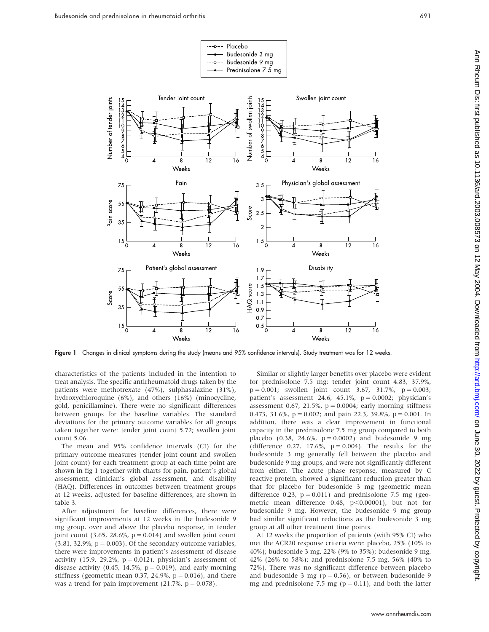

Figure 1 Changes in clinical symptoms during the study (means and 95% confidence intervals). Study treatment was for 12 weeks.

characteristics of the patients included in the intention to treat analysis. The specific antirheumatoid drugs taken by the patients were methotrexate (47%), sulphasalazine (31%), hydroxychloroquine (6%), and others (16%) (minocycline, gold, penicillamine). There were no significant differences between groups for the baseline variables. The standard deviations for the primary outcome variables for all groups taken together were: tender joint count 5.72; swollen joint count 5.06.

The mean and 95% confidence intervals (CI) for the primary outcome measures (tender joint count and swollen joint count) for each treatment group at each time point are shown in fig 1 together with charts for pain, patient's global assessment, clinician's global assessment, and disability (HAQ). Differences in outcomes between treatment groups at 12 weeks, adjusted for baseline differences, are shown in table 3.

After adjustment for baseline differences, there were significant improvements at 12 weeks in the budesonide 9 mg group, over and above the placebo response, in tender joint count (3.65, 28.6%,  $p = 0.014$ ) and swollen joint count  $(3.81, 32.9\%, p = 0.003)$ . Of the secondary outcome variables, there were improvements in patient's assessment of disease activity (15.9, 29.2%,  $p = 0.012$ ), physician's assessment of disease activity (0.45, 14.5%,  $p = 0.019$ ), and early morning stiffness (geometric mean 0.37, 24.9%,  $p = 0.016$ ), and there was a trend for pain improvement  $(21.7\% , p = 0.078)$ .

Similar or slightly larger benefits over placebo were evident for prednisolone 7.5 mg: tender joint count 4.83, 37.9%,  $p = 0.001$ ; swollen joint count 3.67, 31.7%,  $p = 0.003$ ; patient's assessment 24.6, 45.1%,  $p = 0.0002$ ; physician's assessment 0.67, 21.5%,  $p = 0.0004$ ; early morning stiffness 0.473, 31.6%,  $p = 0.002$ ; and pain 22.3, 39.8%,  $p = 0.001$ . In addition, there was a clear improvement in functional capacity in the prednisolone 7.5 mg group compared to both placebo (0.38, 24.6%,  $p = 0.0002$ ) and budesonide 9 mg (difference 0.27, 17.6%,  $p = 0.004$ ). The results for the budesonide 3 mg generally fell between the placebo and budesonide 9 mg groups, and were not significantly different from either. The acute phase response, measured by C reactive protein, showed a significant reduction greater than that for placebo for budesonide 3 mg (geometric mean difference 0.23,  $p = 0.011$ ) and prednisolone 7.5 mg (geometric mean difference 0.48,  $p<0.00001$ ), but not for budesonide 9 mg. However, the budesonide 9 mg group had similar significant reductions as the budesonide 3 mg group at all other treatment time points.

At 12 weeks the proportion of patients (with 95% CI) who met the ACR20 response criteria were: placebo, 25% (10% to 40%); budesonide 3 mg, 22% (9% to 35%); budesonide 9 mg, 42% (26% to 58%); and prednisolone 7.5 mg, 56% (40% to 72%). There was no significant difference between placebo and budesonide 3 mg ( $p = 0.56$ ), or between budesonide 9 mg and prednisolone 7.5 mg ( $p = 0.11$ ), and both the latter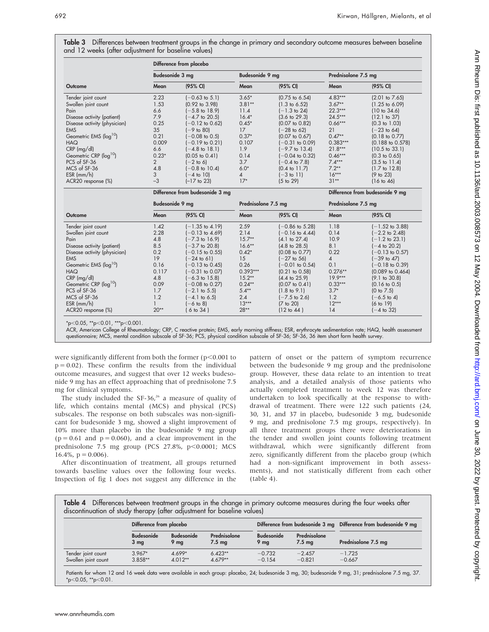Table 3 Differences between treatment groups in the change in primary and secondary outcome measures between baseline and 12 weeks (after adjustment for baseline values)

|                                                                                                                                                                                                                                                                                                                |                                                                                                                   | Difference from placebo                                                                                                                                                                                                                                                                                                                                                             |                                                                                                                                             |                                                                                                                                                                                                                                                                                                                                                                             |                                                                                                                                                                    |                                                                                                                                                                                                                                                                                                                                                   |  |  |
|----------------------------------------------------------------------------------------------------------------------------------------------------------------------------------------------------------------------------------------------------------------------------------------------------------------|-------------------------------------------------------------------------------------------------------------------|-------------------------------------------------------------------------------------------------------------------------------------------------------------------------------------------------------------------------------------------------------------------------------------------------------------------------------------------------------------------------------------|---------------------------------------------------------------------------------------------------------------------------------------------|-----------------------------------------------------------------------------------------------------------------------------------------------------------------------------------------------------------------------------------------------------------------------------------------------------------------------------------------------------------------------------|--------------------------------------------------------------------------------------------------------------------------------------------------------------------|---------------------------------------------------------------------------------------------------------------------------------------------------------------------------------------------------------------------------------------------------------------------------------------------------------------------------------------------------|--|--|
|                                                                                                                                                                                                                                                                                                                | Budesonide 3 mg                                                                                                   |                                                                                                                                                                                                                                                                                                                                                                                     | <b>Budesonide 9 mg</b>                                                                                                                      |                                                                                                                                                                                                                                                                                                                                                                             | Prednisolone 7.5 mg                                                                                                                                                |                                                                                                                                                                                                                                                                                                                                                   |  |  |
| Outcome                                                                                                                                                                                                                                                                                                        | Mean                                                                                                              | (95% CI)                                                                                                                                                                                                                                                                                                                                                                            | Mean                                                                                                                                        | (95% CI)                                                                                                                                                                                                                                                                                                                                                                    | Mean                                                                                                                                                               | (95% CI)                                                                                                                                                                                                                                                                                                                                          |  |  |
| Tender joint count<br>Swollen joint count<br>Pain<br>Disease activity (patient)<br>Disease activity (physician)<br><b>EMS</b><br>Geometric EMS (log <sup>10</sup> )<br><b>HAQ</b><br>$CRP$ (mg/dl)<br>Geometric CRP (log <sup>10</sup> )<br>PCS of SF-36<br>MCS of SF-36<br>$ESR$ (mm/h)<br>ACR20 response (%) | 2.23<br>1.53<br>6.6<br>7.9<br>0.25<br>35<br>0.21<br>0.009<br>6.6<br>$0.23*$<br>$\overline{2}$<br>4.8<br>3<br>$-3$ | $(-0.63 \text{ to } 5.1)$<br>$(0.92 \text{ to } 3.98)$<br>$(-5.8 \text{ to } 18.9)$<br>$(-4.7 \text{ to } 20.5)$<br>$(-0.12 \text{ to } 0.62)$<br>$(-9)$ to 80)<br>$(-0.08 \text{ to } 0.5)$<br>$(-0.19 \text{ to } 0.21)$<br>$(-4.8 \text{ to } 18.1)$<br>$(0.05 \text{ to } 0.41)$<br>$(-2 \text{ to } 6)$<br>$(-0.8 \text{ to } 10.4)$<br>$(-4 \text{ to } 10)$<br>$(-17$ to 23) | $3.65*$<br>$3.81**$<br>11.4<br>$16.4*$<br>$0.45*$<br>17<br>$0.37*$<br>0.107<br>1.9<br>0.14<br>3.7<br>$6.0*$<br>4<br>$17*$                   | $(0.75 \text{ to } 6.54)$<br>$(1.3 \text{ to } 6.52)$<br>$(-1.3 \text{ to } 24)$<br>$(3.6 \text{ to } 29.3)$<br>$(0.07)$ to $0.82$<br>$(-28 \text{ to } 62)$<br>$(0.07 \text{ to } 0.67)$<br>$(-0.31$ to 0.09)<br>$(-9.7 \text{ to } 13.4)$<br>$(-0.04 \text{ to } 0.32)$<br>$(-0.4 \text{ to } 7.8)$<br>$(0.4 \text{ to } 11.7)$<br>$(-3 \text{ to } 11)$<br>$(5$ to $29)$ | $4.83***$<br>$3.67**$<br>$22.3***$<br>$24.5***$<br>$0.66***$<br>21<br>$0.47**$<br>$0.383***$<br>$21.8***$<br>$0.46***$<br>$7.4***$<br>$7.2**$<br>$16***$<br>$31**$ | $(2.01)$ to $7.65$<br>$(1.25 \text{ to } 6.09)$<br>(10 to 34.6)<br>(12.1 to 37)<br>$(0.3 \text{ to } 1.03)$<br>$(-23 \text{ to } 64)$<br>$(0.18 \text{ to } 0.77)$<br>$(0.188$ to $0.578)$<br>$(10.5 \text{ to } 33.1)$<br>$(0.3 \text{ to } 0.65)$<br>$(3.5 \text{ to } 11.4)$<br>$(1.7 \text{ to } 12.8)$<br>$(9 \text{ to } 23)$<br>(16 to 46) |  |  |
|                                                                                                                                                                                                                                                                                                                | Difference from budesonide 3 mg<br>Difference from budesonide 9 mg                                                |                                                                                                                                                                                                                                                                                                                                                                                     |                                                                                                                                             |                                                                                                                                                                                                                                                                                                                                                                             |                                                                                                                                                                    |                                                                                                                                                                                                                                                                                                                                                   |  |  |
|                                                                                                                                                                                                                                                                                                                | <b>Budesonide 9 mg</b>                                                                                            |                                                                                                                                                                                                                                                                                                                                                                                     | Prednisolone 7.5 mg                                                                                                                         |                                                                                                                                                                                                                                                                                                                                                                             | Prednisolone 7.5 mg                                                                                                                                                |                                                                                                                                                                                                                                                                                                                                                   |  |  |
| Outcome                                                                                                                                                                                                                                                                                                        | Mean                                                                                                              | (95% CI)                                                                                                                                                                                                                                                                                                                                                                            | Mean                                                                                                                                        | (95% CI)                                                                                                                                                                                                                                                                                                                                                                    | Mean                                                                                                                                                               | (95% CI)                                                                                                                                                                                                                                                                                                                                          |  |  |
| Tender joint count<br>Swollen joint count<br>Pain<br>Disease activity (patient)<br>Disease activity (physician)<br><b>EMS</b><br>Geometric EMS (log <sup>10</sup> )<br><b>HAQ</b><br>$CRP$ (mg/dl)<br>Geometric CRP (log <sup>10</sup> )<br>PCS of SF-36<br>MCS of SF-36<br>$ESR$ (mm/h)<br>ACR20 response (%) | 1.42<br>2.28<br>4.8<br>8.5<br>0.2<br>19<br>0.16<br>0.117<br>4.8<br>0.09<br>1.7<br>1.2<br>1<br>$20**$              | $(-1.35 \text{ to } 4.19)$<br>$(-0.13 \text{ to } 4.69)$<br>$(-7.3 \text{ to } 16.9)$<br>$(-3.7)$ to 20.8)<br>$(-0.15 \text{ to } 0.55)$<br>$(-24 \text{ to } 61)$<br>$(-0.13 \text{ to } 0.45)$<br>$(-0.31$ to $0.07)$<br>$(-6.3 \text{ to } 15.8)$<br>$(-0.08 \text{ to } 0.27)$<br>$(-2.1 \text{ to } 5.5)$<br>$(-4.1 \text{ to } 6.5)$<br>$(-6 \text{ to } 8)$<br>$6$ to $34$ ) | 2.59<br>2.14<br>$15.7**$<br>$16.6***$<br>$0.42*$<br>15<br>0.26<br>$0.393***$<br>$15.2**$<br>$0.24**$<br>$5.4**$<br>2.4<br>$13***$<br>$28**$ | $(-0.86 \text{ to } 5.28)$<br>$(-0.16 \text{ to } 4.44)$<br>$(4.1 \text{ to } 27.4)$<br>$(4.8 \text{ to } 28.5)$<br>$(0.08 \text{ to } 0.77)$<br>$(-27 \text{ to } 56)$<br>$(-0.01)$ to 0.54)<br>$(0.21$ to $0.58)$<br>$(4.4 \text{ to } 25.9)$<br>$(0.07 \text{ to } 0.41)$<br>$(1.8 \text{ to } 9.1)$<br>$(-7.5 \text{ to } 2.6)$<br>$(7 \text{ to } 20)$<br>(12 to 44)   | 1.18<br>0.14<br>10.9<br>8.1<br>0.22<br>4<br>0.1<br>$0.276**$<br>$19.9***$<br>$0.33***$<br>$3.7*$<br>1.2<br>$12***$<br>14                                           | $(-1.52 \text{ to } 3.88)$<br>$(-2.2 \text{ to } 2.48)$<br>$(-1.2 \text{ to } 23.1)$<br>$(-4 \text{ to } 20.2)$<br>$(-0.13 \text{ to } 0.57)$<br>$(-39$ to $47)$<br>$(-0.18 \text{ to } 0.39)$<br>$(0.089$ to $0.464)$<br>(9.1 to 30.8)<br>$(0.16 \text{ to } 0.5)$<br>(0 to 7.5)<br>$(-6.5 \text{ to } 4)$<br>(6 to 19)<br>$(-4 \text{ to } 32)$ |  |  |

 $*_{p<0.05}$ ,  $*_{p<0.01}$ ,  $*_{p<0.001}$ .

ACR, American College of Rheumatology; CRP, C reactive protein; EMS, early morning stiffness; ESR, erythrocyte sedimentation rate; HAQ, health assessment questionnaire; MCS, mental condition subscale of SF-36; PCS, physical condition subscale of SF-36; SF-36, 36 item short form health survey.

were significantly different from both the former  $(p<0.001$  to  $p = 0.02$ ). These confirm the results from the individual outcome measures, and suggest that over 12 weeks budesonide 9 mg has an effect approaching that of prednisolone 7.5 mg for clinical symptoms.

The study included the  $SF-36<sup>26</sup>$  a measure of quality of life, which contains mental (MCS) and physical (PCS) subscales. The response on both subscales was non-significant for budesonide 3 mg, showed a slight improvement of 10% more than placebo in the budesonide 9 mg group  $(p = 0.61$  and  $p = 0.060$ , and a clear improvement in the prednisolone 7.5 mg group (PCS 27.8%,  $p<0.0001$ ; MCS 16.4%,  $p = 0.006$ ).

After discontinuation of treatment, all groups returned towards baseline values over the following four weeks. Inspection of fig 1 does not suggest any difference in the pattern of onset or the pattern of symptom recurrence between the budesonide 9 mg group and the prednisolone group. However, these data relate to an intention to treat analysis, and a detailed analysis of those patients who actually completed treatment to week 12 was therefore undertaken to look specifically at the response to withdrawal of treatment. There were 122 such patients (24, 30, 31, and 37 in placebo, budesonide 3 mg, budesonide 9 mg, and prednisolone 7.5 mg groups, respectively). In all three treatment groups there were deteriorations in the tender and swollen joint counts following treatment withdrawal, which were significantly different from zero, significantly different from the placebo group (which had a non-significant improvement in both assessments), and not statistically different from each other (table 4).

Table 4 Differences between treatment groups in the change in primary outcome measures during the four weeks after discontinuation of study therapy (after adjustment for baseline values)

|                                           | Difference from placebo              |                           |                                  |                           |                                  | Difference from budesonide 3 mg Difference from budesonide 9 mg |  |
|-------------------------------------------|--------------------------------------|---------------------------|----------------------------------|---------------------------|----------------------------------|-----------------------------------------------------------------|--|
|                                           | <b>Budesonide</b><br>3 <sub>mq</sub> | <b>Budesonide</b><br>9 mg | Prednisolone<br>$7.5 \text{ mg}$ | <b>Budesonide</b><br>9 mg | Prednisolone<br>$7.5 \text{ mg}$ | Prednisolone 7.5 mg                                             |  |
| Tender joint count<br>Swollen joint count | $3.967*$<br>$3.858**$                | $4.699*$<br>$4.012**$     | $6.423**$<br>$4.679**$           | $-0.732$<br>$-0.154$      | $-2.457$<br>$-0.821$             | $-1.725$<br>$-0.667$                                            |  |

 $*p<0.05$ ,  $*p<0.01$ .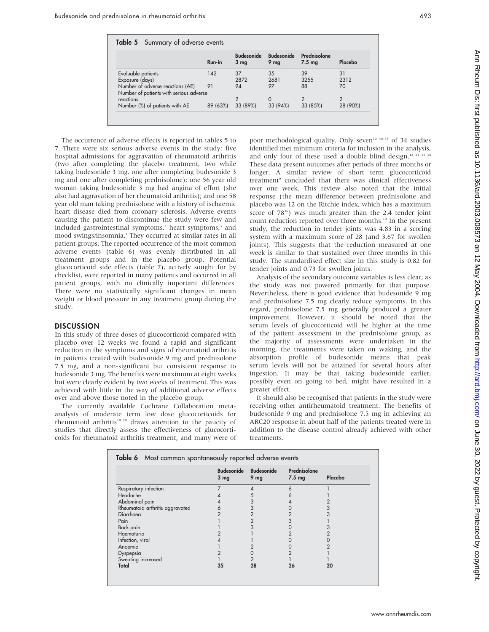|                                         | Run-in   | <b>Budesonide</b><br>3 <sub>mq</sub> | <b>Budesonide</b><br>9 mg | Prednisolone<br>$7.5 \text{ mg}$ | Placebo  |
|-----------------------------------------|----------|--------------------------------------|---------------------------|----------------------------------|----------|
| Evaluable patients                      | 142      | 37                                   | 35                        | 39                               | 31       |
| Exposure (days)                         |          | 2872                                 | 2681                      | 3255                             | 2312     |
| Number of adverse reactions (AE)        | 91       | 94                                   | 97                        | 88                               | 70       |
| Number of patients with serious adverse |          |                                      |                           |                                  |          |
| reactions                               |          |                                      | $\Omega$                  | 2                                | 2        |
| Number (%) of patients with AE          | 89 (63%) | 33 (89%)                             | 33 (94%)                  | 33 (85%)                         | 28 (90%) |

The occurrence of adverse effects is reported in tables 5 to 7. There were six serious adverse events in the study: five hospital admissions for aggravation of rheumatoid arthritis (two after completing the placebo treatment, two while taking budesonide 3 mg, one after completing budesonide 3 mg and one after completing prednisolone); one 56 year old woman taking budesonide 3 mg had angina of effort (she also had aggravation of her rheumatoid arthritis); and one 58 year old man taking prednisolone with a history of ischaemic heart disease died from coronary sclerosis. Adverse events causing the patient to discontinue the study were few and included gastrointestinal symptoms,<sup>2</sup> heart symptoms,<sup>3</sup> and mood swings/insomnia.<sup>1</sup> They occurred at similar rates in all patient groups. The reported occurrence of the most common adverse events (table 6) was evenly distributed in all treatment groups and in the placebo group. Potential glucocorticoid side effects (table 7), actively sought for by checklist, were reported in many patients and occurred in all patient groups, with no clinically important differences. There were no statistically significant changes in mean weight or blood pressure in any treatment group during the study.

# **DISCUSSION**

In this study of three doses of glucocorticoid compared with placebo over 12 weeks we found a rapid and significant reduction in the symptoms and signs of rheumatoid arthritis in patients treated with budesonide 9 mg and prednisolone 7.5 mg, and a non-significant but consistent response to budesonide 3 mg. The benefits were maximum at eight weeks but were clearly evident by two weeks of treatment. This was achieved with little in the way of additional adverse effects over and above those noted in the placebo group.

The currently available Cochrane Collaboration metaanalysis of moderate term low dose glucocorticoids for rheumatoid arthritis<sup>10 29</sup> draws attention to the paucity of studies that directly assess the effectiveness of glucocorticoids for rheumatoid arthritis treatment, and many were of poor methodological quality. Only seven<sup>12 30-35</sup> of 34 studies identified met minimum criteria for inclusion in the analysis, and only four of these used a double blind design.<sup>12 31 33 34</sup> These data present outcomes after periods of three months or longer. A similar review of short term glucocorticoid treatment<sup>9</sup> concluded that there was clinical effectiveness over one week. This review also noted that the initial response (the mean difference between prednisolone and placebo was 12 on the Ritchie index, which has a maximum score of  $78^{36}$ ) was much greater than the 2.4 tender joint count reduction reported over three months.<sup>10</sup> In the present study, the reduction in tender joints was 4.83 in a scoring system with a maximum score of 28 (and 3.67 for swollen joints). This suggests that the reduction measured at one week is similar to that sustained over three months in this study. The standardised effect size in this study is 0.82 for tender joints and 0.73 for swollen joints.

Analysis of the secondary outcome variables is less clear, as the study was not powered primarily for that purpose. Nevertheless, there is good evidence that budesonide 9 mg and prednisolone 7.5 mg clearly reduce symptoms. In this regard, prednisolone 7.5 mg generally produced a greater improvement. However, it should be noted that the serum levels of glucocorticoid will be higher at the time of the patient assessment in the prednisolone group, as the majority of assessments were undertaken in the morning, the treatments were taken on waking, and the absorption profile of budesonide means that peak serum levels will not be attained for several hours after ingestion. It may be that taking budesonide earlier, possibly even on going to bed, might have resulted in a greater effect.

It should also be recognised that patients in the study were receiving other antirheumatoid treatment. The benefits of budesonide 9 mg and prednisolone 7.5 mg in achieving an ARC20 response in about half of the patients treated were in addition to the disease control already achieved with other treatments.

|                                 | <b>Budesonide</b><br>3 <sub>mg</sub> | <b>Budesonide</b><br>9 <sub>mg</sub> | Prednisolone<br>$7.5 \text{ mg}$ | Placebo |
|---------------------------------|--------------------------------------|--------------------------------------|----------------------------------|---------|
| Respiratory infection           |                                      |                                      |                                  |         |
| Headache                        |                                      |                                      |                                  |         |
| Abdominal pain                  |                                      |                                      |                                  |         |
| Rheumatoid arthritis aggravated |                                      |                                      |                                  |         |
| Diarrhoea                       |                                      |                                      |                                  |         |
| Pain                            |                                      |                                      |                                  |         |
| Back pain                       |                                      |                                      |                                  |         |
| Haematuria                      |                                      |                                      |                                  |         |
| Infection, viral                |                                      |                                      |                                  |         |
| Anaemia                         |                                      |                                      |                                  |         |
| Dyspepsia                       |                                      |                                      |                                  |         |
| Sweating increased              |                                      |                                      |                                  |         |
| Total                           | 35                                   | 28                                   | 26                               | 20      |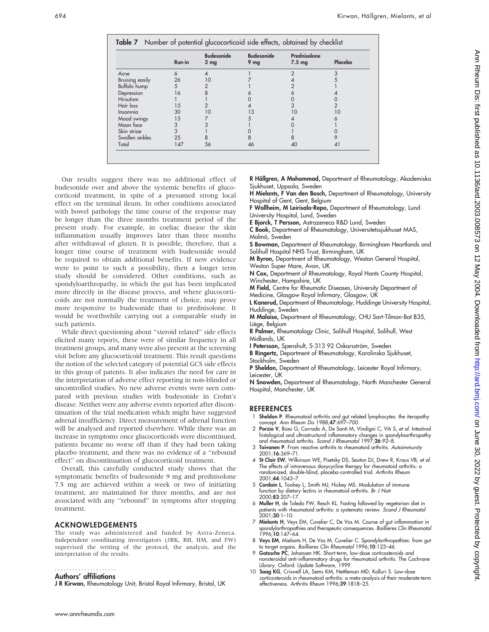|                        | Run-in | <b>Budesonide</b><br>3 <sub>mg</sub> | <b>Budesonide</b><br>9 <sub>mg</sub> | Prednisolone<br>$7.5 \text{ mg}$ | Placebo |
|------------------------|--------|--------------------------------------|--------------------------------------|----------------------------------|---------|
| Acne                   | 6      |                                      |                                      |                                  |         |
| <b>Bruising easily</b> | 26     | 10                                   |                                      |                                  |         |
| <b>Buffalo</b> hump    | 5      |                                      |                                      |                                  |         |
| Depression             | 16     |                                      |                                      |                                  |         |
| <b>Hirsutism</b>       |        |                                      |                                      |                                  |         |
| Hair loss              | 15     |                                      |                                      |                                  |         |
| Insomnia               | 30     | 10                                   |                                      |                                  |         |
| Mood swings            | 15     |                                      |                                      |                                  |         |
| Moon face              |        |                                      |                                      |                                  |         |
| Skin striae            |        |                                      |                                      |                                  |         |
| Swollen ankles         | 25     |                                      |                                      |                                  |         |
| Total                  | 147    | 56                                   | 46                                   | ⊿Ω                               |         |

Our results suggest there was no additional effect of budesonide over and above the systemic benefits of glucocorticoid treatment, in spite of a presumed strong local effect on the terminal ileum. In other conditions associated with bowel pathology the time course of the response may be longer than the three months treatment period of the present study. For example, in coeliac disease the skin inflammation usually improves later than three months after withdrawal of gluten. It is possible, therefore, that a longer time course of treatment with budesonide would be required to obtain additional benefits. If new evidence were to point to such a possibility, then a longer term study should be considered. Other conditions, such as spondyloarthropathy, in which the gut has been implicated more directly in the disease process, and where glucocorticoids are not normally the treatment of choice, may prove more responsive to budesonide than to prednisolone. It would be worthwhile carrying out a comparable study in such patients.

While direct questioning about ''steroid related'' side effects elicited many reports, these were of similar frequency in all treatment groups, and many were also present at the screening visit before any glucocorticoid treatment. This result questions the notion of the selected category of potential GCS side effects in this group of patents. It also indicates the need for care in the interpretation of adverse effect reporting in non-blinded or uncontrolled studies. No new adverse events were seen compared with previous studies with budesonide in Crohn's disease. Neither were any adverse events reported after discontinuation of the trial medication which might have suggested adrenal insufficiency. Direct measurement of adrenal function will be analysed and reported elsewhere. While there was an increase in symptoms once glucocorticoids were discontinued, patients became no worse off than if they had been taking placebo treatment, and there was no evidence of a ''rebound effect'' on discontinuation of glucocorticoid treatment.

Overall, this carefully conducted study shows that the symptomatic benefits of budesonide 9 mg and prednisolone 7.5 mg are achieved within a week or two of initiating treatment, are maintained for three months, and are not associated with any ''rebound'' in symptoms after stopping treatment.

## ACKNOWLEDGEMENTS

The study was administered and funded by Astra-Zeneca. Independent coordinating investigators (JRK, RH, HM, and FW) supervised the writing of the protocol, the analysis, and the interpretation of the results.

#### Authors' affiliations .....................

J R Kirwan, Rheumatology Unit, Bristol Royal Infirmary, Bristol, UK

R Hällgren, A Mohammad, Department of Rheumatology, Akademiska Sjukhuset, Uppsala, Sweden

H Mielants, F Van den Bosch, Department of Rheumatology, University Hospital of Gent, Gent, Belgium

F Wollheim, M Leirisalo-Repo, Department of Rheumatology, Lund University Hospital, Lund, Sweden

E Bjorck, T Persson, Astrazeneca R&D Lund, Sweden

C Book, Department of Rheumatology, Universitetssjukhuset MAS, Malmö, Sweden

S Bowman, Department of Rheumatology, Birmingham Heartlands and Solihull Hospital NHS Trust, Birmingham, UK

M Byron, Department of Rheumatology, Weston General Hospital,

Weston Super Mare, Avon, UK

N Cox, Department of Rheumatology, Royal Hants County Hospital, Winchester, Hampshire, UK

M Field, Centre for Rheumatic Diseases, University Department of Medicine, Glasgow Royal Infirmary, Glasgow, UK

L Kanerud, Department of Rheumatology, Huddinge University Hospital, Huddinge, Sweden

M Malaise, Department of Rheumatology, CHU Sart-Tilman-Bat B35, Liège, Belgium

R Palmer, Rheumatology Clinic, Solihull Hospital, Solihull, West Midlands, UK

I Petersson, Spenshult, S-313 92 Oskarsström, Sweden

B Ringertz, Department of Rheumatology, Karolinska Sjukhuset, Stockholm, Sweden

P Sheldon, Department of Rheumatology, Leicester Royal Infirmary, Leicester, UK

N Snowden, Department of Rheumatology, North Manchester General Hospital, Manchester, UK

#### **REFERENCES**

- 1 Sheldon P. Rheumatoid arthritis and gut related lymphocytes: the iteropathy concept. Ann Rheum Dis 1988;47:697–700.
- 2 Porzio V, Biasi G, Corrado A, De Santi M, Vindigni C, Viti S, et al. Intestinal histological and ultrastructural inflammatory changes in spondyloarthropathy and rheumatoid arthritis. Scand J Rheumatol 1997;26:92-8.
- 3 Toivanen P. From reactive arthritis to rheumatoid arthritis. Autoimmunity 2001;16:369–71.
- 4 St Clair EW, Wilkinson WE, Pisetsky DS, Sexton DJ, Drew R, Kraus VB, et al. The effects of intravenous doxycycline therapy for rheumatoid arthritis: a randomized, double-blind, placebo-controlled trial. Arthritis Rheum  $2001 \cdot 44 \cdot 1043 - 7$
- 5 Cordain L, Toohey L, Smith MJ, Hickey MS. Modulation of immune function by dietary lectins in rheumatoid arthritis. Br J Nutr 2000;83:207–17.
- 6 Muller H, de Toledo FW, Resch KL. Fasting followed by vegetarian diet in patients with rheumatoid arthritis: a systematic review. *Scand J Rheumatol*<br>2001;**30**:1–10.
- 7 Mielants H, Veys EM, Cuvelier C, De Vos M. Course of gut inflammation in spondylarthropathies and therapeutic consequences. Baillieres Clin Rheumatol 1996;10:147–64.
- 8 Veys EM, Mielants H, De Vos M, Cuvelier C. Spondylarthropathies: from gut to target organs. Baillieres Clin Rheumatol 1996;10:123–46.
- 9 Gotzsche PC, Johansen HK. Short-term, low-dose corticosteroids and nonsteroidal anti-inflammatory drugs for rheumatoid arthritis. The Cochrane Library. Oxford: Update Software, 1999.
- 10 Saag KG, Criswell LA, Sems KM, Nettleman MD, Kolluri S. Low-dose corticosteroids in rheumatoid arthritis: a meta-analysis of their moderate-term effectiveness. Arthritis Rheum 1996;39:1818–25.